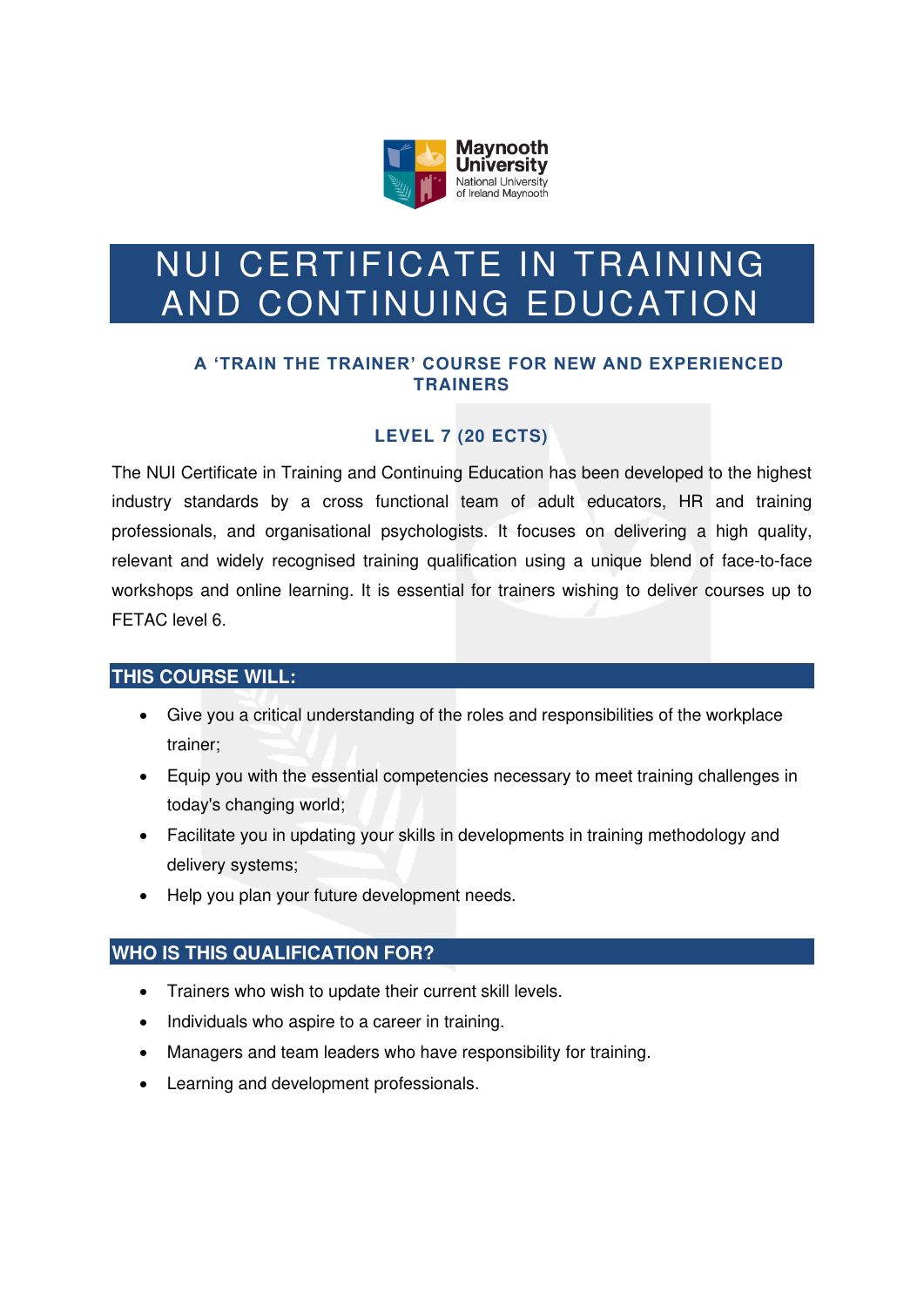

# NUI CERTIFICATE IN TRAINING AND CONTINUING EDUCATION

## **A 'TRAIN THE TRAINER' COURSE FOR NEW AND EXPERIENCED TRAINERS**

# **LEVEL 7 (20 ECTS)**

The NUI Certificate in Training and Continuing Education has been developed to the highest industry standards by a cross functional team of adult educators, HR and training professionals, and organisational psychologists. It focuses on delivering a high quality, relevant and widely recognised training qualification using a unique blend of face-to-face workshops and online learning. It is essential for trainers wishing to deliver courses up to FETAC level 6.

# **THIS COURSE WILL:**

- Give you a critical understanding of the roles and responsibilities of the workplace trainer;
- Equip you with the essential competencies necessary to meet training challenges in today's changing world;
- Facilitate you in updating your skills in developments in training methodology and delivery systems;
- Help you plan your future development needs.

# **WHO IS THIS QUALIFICATION FOR?**

- Trainers who wish to update their current skill levels.
- Individuals who aspire to a career in training.
- Managers and team leaders who have responsibility for training.
- Learning and development professionals.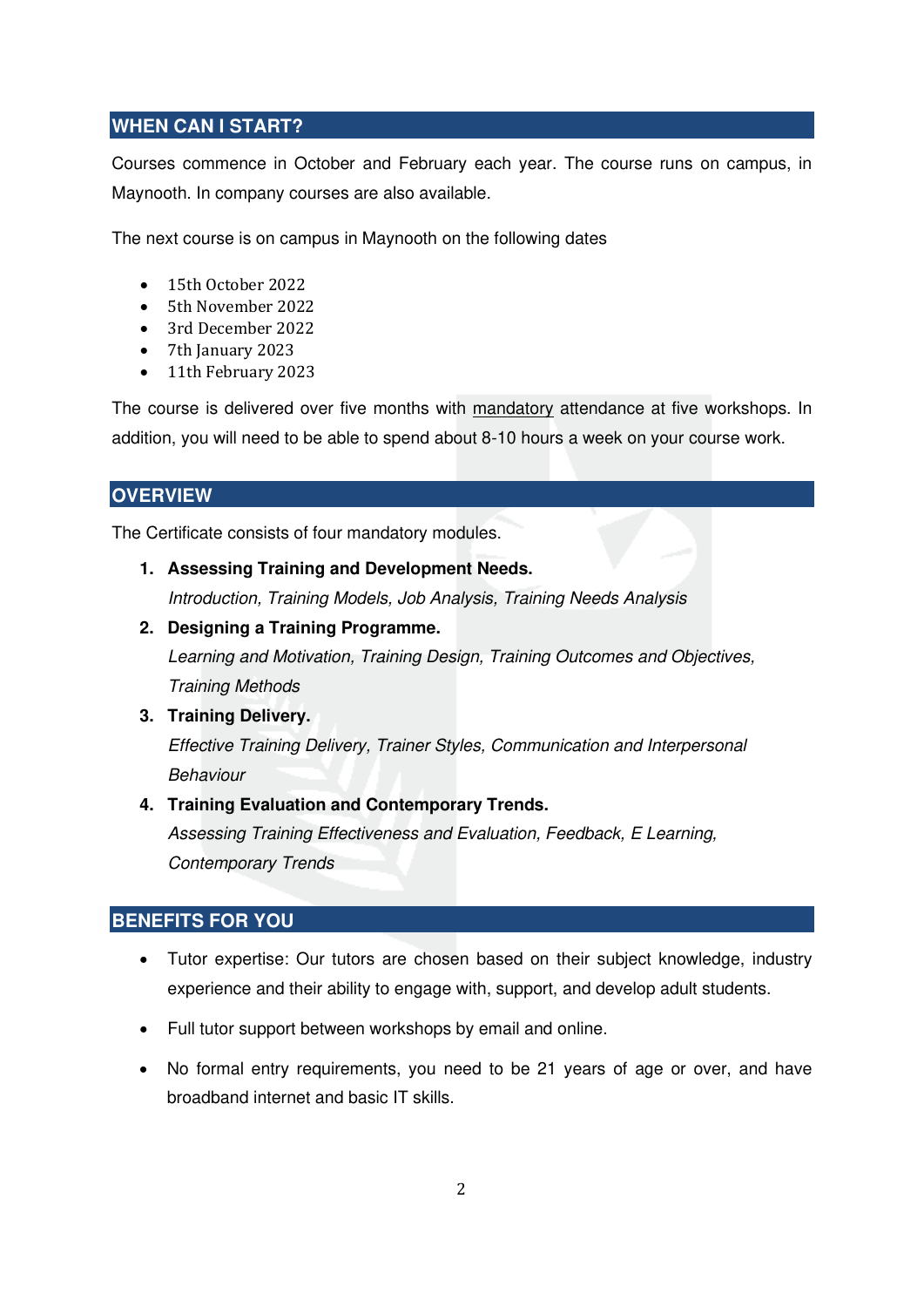# **WHEN CAN I START?**

Courses commence in October and February each year. The course runs on campus, in Maynooth. In company courses are also available.

The next course is on campus in Maynooth on the following dates

- 15th October 2022
- 5th November 2022
- 3rd December 2022
- 7th January 2023
- 11th February 2023

The course is delivered over five months with mandatory attendance at five workshops. In addition, you will need to be able to spend about 8-10 hours a week on your course work.

## **OVERVIEW**

The Certificate consists of four mandatory modules.

**1. Assessing Training and Development Needs.**

Introduction, Training Models, Job Analysis, Training Needs Analysis

**2. Designing a Training Programme.**

Learning and Motivation, Training Design, Training Outcomes and Objectives, Training Methods

**3. Training Delivery.**

Effective Training Delivery, Trainer Styles, Communication and Interpersonal Behaviour

#### **4. Training Evaluation and Contemporary Trends.**

Assessing Training Effectiveness and Evaluation, Feedback, E Learning, Contemporary Trends

#### **BENEFITS FOR YOU**

- Tutor expertise: Our tutors are chosen based on their subject knowledge, industry experience and their ability to engage with, support, and develop adult students.
- Full tutor support between workshops by email and online.
- No formal entry requirements, you need to be 21 years of age or over, and have broadband internet and basic IT skills.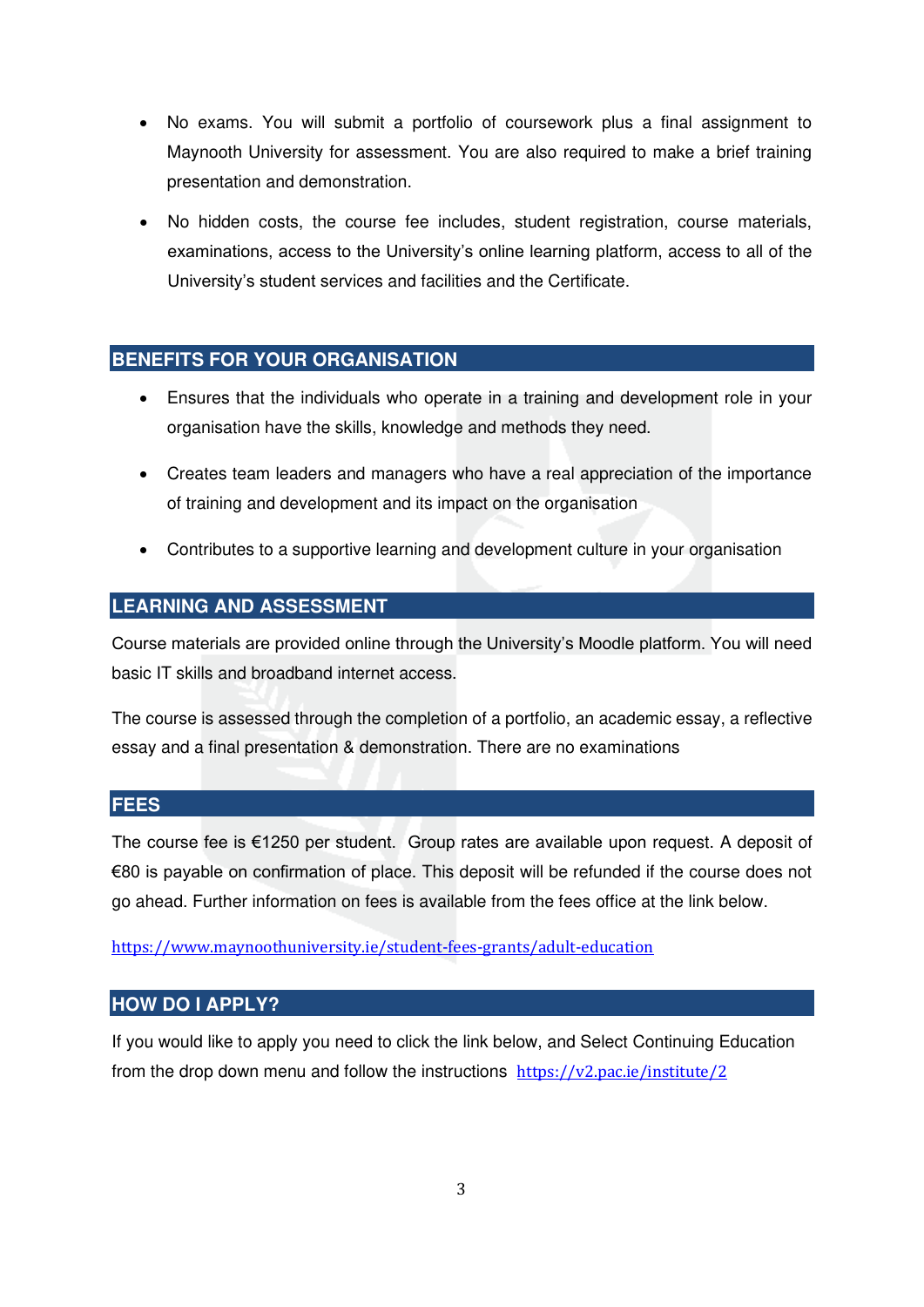- No exams. You will submit a portfolio of coursework plus a final assignment to Maynooth University for assessment. You are also required to make a brief training presentation and demonstration.
- No hidden costs, the course fee includes, student registration, course materials, examinations, access to the University's online learning platform, access to all of the University's student services and facilities and the Certificate.

#### **BENEFITS FOR YOUR ORGANISATION**

- Ensures that the individuals who operate in a training and development role in your organisation have the skills, knowledge and methods they need.
- Creates team leaders and managers who have a real appreciation of the importance of training and development and its impact on the organisation
- Contributes to a supportive learning and development culture in your organisation

## **LEARNING AND ASSESSMENT**

Course materials are provided online through the University's Moodle platform. You will need basic IT skills and broadband internet access.

The course is assessed through the completion of a portfolio, an academic essay, a reflective essay and a final presentation & demonstration. There are no examinations

#### **FEES**

The course fee is €1250 per student. Group rates are available upon request. A deposit of €80 is payable on confirmation of place. This deposit will be refunded if the course does not go ahead. Further information on fees is available from the fees office at the link below.

<https://www.maynoothuniversity.ie/student-fees-grants/adult-education>

#### **HOW DO I APPLY?**

If you would like to apply you need to click the link below, and Select Continuing Education from the drop down menu and follow the instructions <https://v2.pac.ie/institute/2>